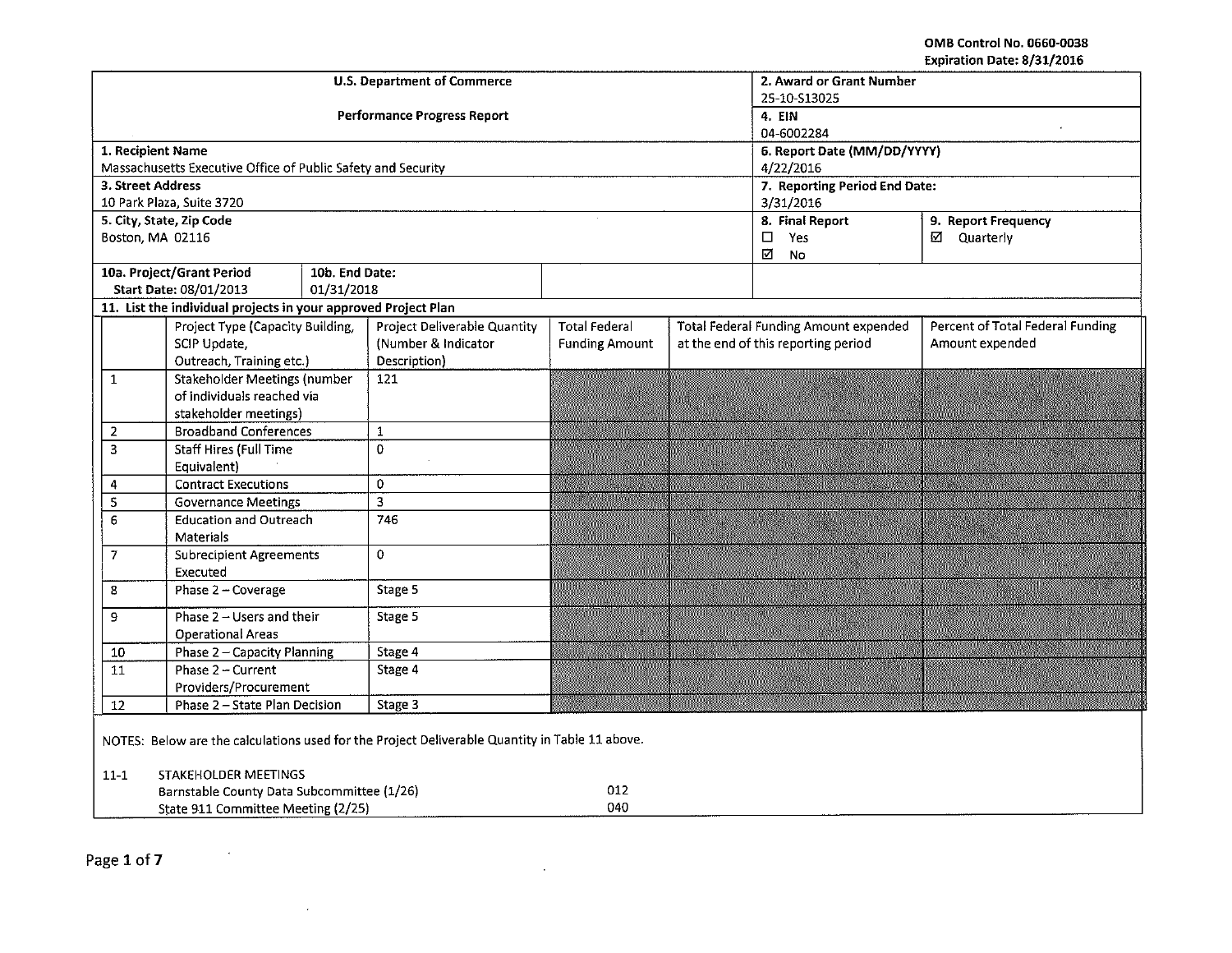OMB Control No. 0660-0038 Expiration Date: 8/31/2016

|                                                                                                |                                                                | <b>U.S. Department of Commerce</b> | 2. Award or Grant Number<br>25-10-S13025 |                             |                                                     |                                                                                  |                 |  |  |
|------------------------------------------------------------------------------------------------|----------------------------------------------------------------|------------------------------------|------------------------------------------|-----------------------------|-----------------------------------------------------|----------------------------------------------------------------------------------|-----------------|--|--|
|                                                                                                |                                                                |                                    | <b>Performance Progress Report</b>       | 4. EIN                      |                                                     |                                                                                  |                 |  |  |
|                                                                                                |                                                                |                                    |                                          | 04-6002284                  |                                                     |                                                                                  |                 |  |  |
| 1. Recipient Name                                                                              |                                                                |                                    |                                          | 6. Report Date (MM/DD/YYYY) |                                                     |                                                                                  |                 |  |  |
|                                                                                                | Massachusetts Executive Office of Public Safety and Security   |                                    |                                          |                             |                                                     | 4/22/2016                                                                        |                 |  |  |
| 3. Street Address                                                                              | 10 Park Plaza, Suite 3720                                      |                                    | 7. Reporting Period End Date:            |                             |                                                     |                                                                                  |                 |  |  |
|                                                                                                | 5. City, State, Zip Code                                       |                                    |                                          |                             | 3/31/2016<br>8. Final Report<br>9. Report Frequency |                                                                                  |                 |  |  |
| Boston, MA 02116                                                                               |                                                                |                                    |                                          |                             |                                                     | $\Box$<br>Yes                                                                    | ☑ Quarterly     |  |  |
|                                                                                                |                                                                |                                    |                                          |                             |                                                     | N<br>No                                                                          |                 |  |  |
|                                                                                                | 10a. Project/Grant Period                                      | 10b. End Date:                     |                                          |                             |                                                     |                                                                                  |                 |  |  |
|                                                                                                | Start Date: 08/01/2013                                         | 01/31/2018                         |                                          |                             |                                                     |                                                                                  |                 |  |  |
|                                                                                                | 11. List the individual projects in your approved Project Plan |                                    |                                          |                             |                                                     |                                                                                  |                 |  |  |
|                                                                                                | Project Type (Capacity Building,                               |                                    | <b>Project Deliverable Quantity</b>      | <b>Total Federal</b>        |                                                     | Percent of Total Federal Funding<br><b>Total Federal Funding Amount expended</b> |                 |  |  |
|                                                                                                | SCIP Update,                                                   |                                    | (Number & Indicator                      | <b>Funding Amount</b>       |                                                     | at the end of this reporting period                                              | Amount expended |  |  |
|                                                                                                | Outreach, Training etc.)                                       |                                    | Description)                             |                             |                                                     |                                                                                  |                 |  |  |
| $\mathbf{1}$                                                                                   | <b>Stakeholder Meetings (number</b>                            |                                    | 121                                      |                             |                                                     |                                                                                  |                 |  |  |
|                                                                                                | of individuals reached via                                     |                                    |                                          |                             |                                                     |                                                                                  |                 |  |  |
|                                                                                                | stakeholder meetings)                                          |                                    |                                          |                             |                                                     |                                                                                  |                 |  |  |
| $\overline{\mathbf{2}}$                                                                        | <b>Broadband Conferences</b>                                   |                                    | $\mathbf 1$                              |                             |                                                     |                                                                                  |                 |  |  |
| $\overline{\mathbf{3}}$                                                                        | <b>Staff Hires (Full Time</b><br>Equivalent)                   |                                    | 0                                        |                             |                                                     |                                                                                  |                 |  |  |
| 4                                                                                              | <b>Contract Executions</b>                                     |                                    | $\mathbf{0}$                             |                             |                                                     |                                                                                  |                 |  |  |
| $\overline{\mathbf{5}}$                                                                        | <b>Governance Meetings</b>                                     |                                    | $\overline{\mathbf{3}}$                  |                             |                                                     |                                                                                  |                 |  |  |
| 6                                                                                              | <b>Education and Outreach</b>                                  |                                    | 746                                      |                             |                                                     |                                                                                  |                 |  |  |
|                                                                                                | Materials                                                      |                                    |                                          |                             |                                                     |                                                                                  |                 |  |  |
| 7                                                                                              | <b>Subrecipient Agreements</b>                                 |                                    | 0                                        |                             |                                                     |                                                                                  |                 |  |  |
|                                                                                                | Executed                                                       |                                    |                                          |                             |                                                     |                                                                                  |                 |  |  |
| 8                                                                                              | Phase 2 - Coverage                                             |                                    | Stage 5                                  |                             |                                                     |                                                                                  |                 |  |  |
| 9                                                                                              | Phase 2 - Users and their                                      |                                    | Stage 5                                  |                             |                                                     |                                                                                  |                 |  |  |
|                                                                                                | <b>Operational Areas</b>                                       |                                    |                                          |                             |                                                     |                                                                                  |                 |  |  |
| 10                                                                                             | Phase 2 - Capacity Planning                                    |                                    | Stage 4                                  |                             |                                                     |                                                                                  |                 |  |  |
| $\overline{11}$                                                                                | Phase 2 - Current                                              |                                    | Stage 4                                  |                             |                                                     |                                                                                  |                 |  |  |
|                                                                                                | Providers/Procurement                                          |                                    |                                          |                             |                                                     |                                                                                  |                 |  |  |
| 12                                                                                             | Phase 2 - State Plan Decision                                  |                                    | Stage 3                                  |                             |                                                     |                                                                                  |                 |  |  |
| NOTES: Below are the calculations used for the Project Deliverable Quantity in Table 11 above. |                                                                |                                    |                                          |                             |                                                     |                                                                                  |                 |  |  |
| $11 - 1$                                                                                       | STAKEHOLDER MEETINGS                                           |                                    |                                          |                             |                                                     |                                                                                  |                 |  |  |
|                                                                                                | Barnstable County Data Subcommittee (1/26)                     |                                    |                                          |                             |                                                     |                                                                                  |                 |  |  |
|                                                                                                | State 911 Committee Meeting (2/25)                             |                                    |                                          |                             |                                                     |                                                                                  |                 |  |  |

 $\sim$ 

 $\sim$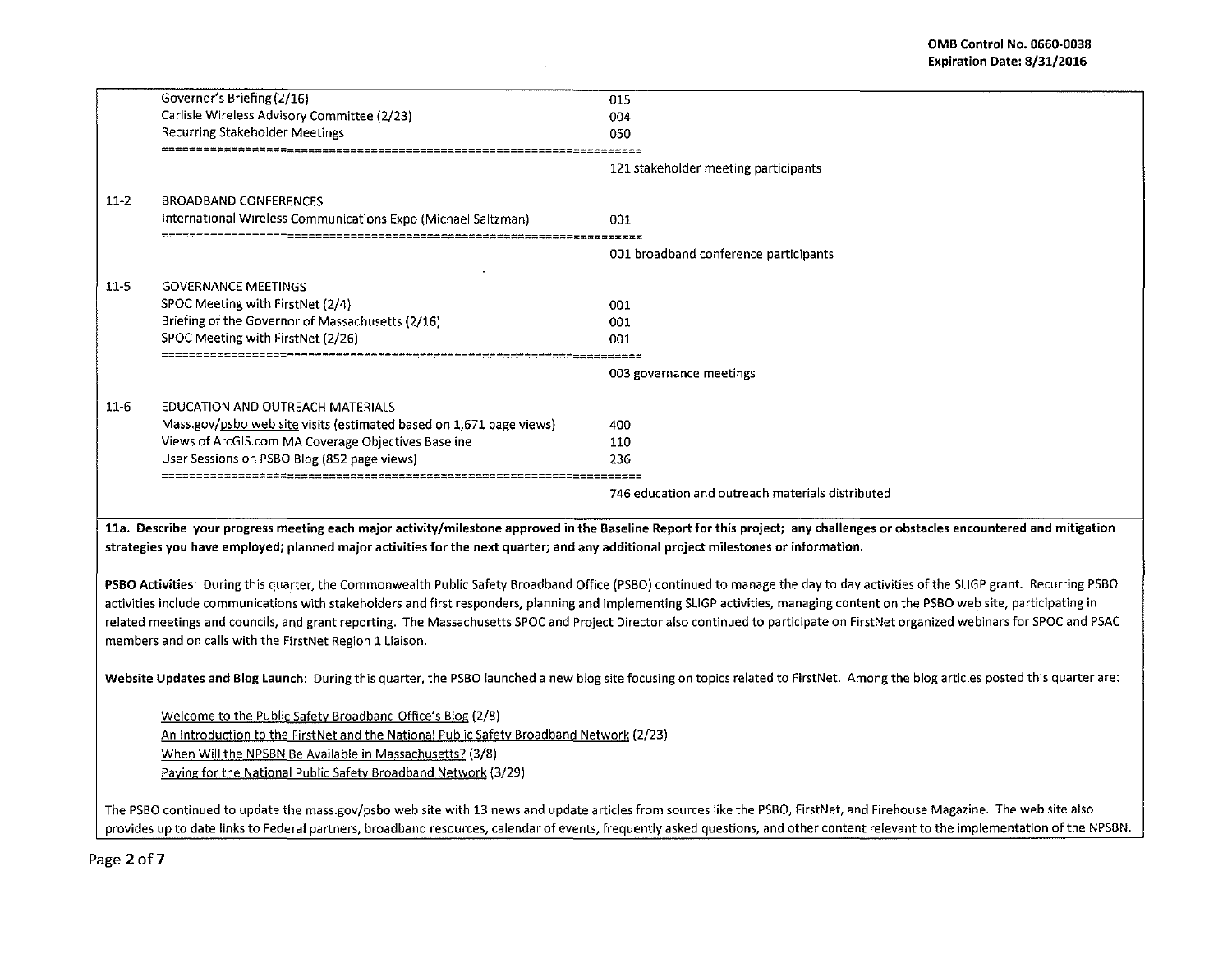|          | Governor's Briefing (2/16)                                                                                                         | 015                                                                                                                                                                              |
|----------|------------------------------------------------------------------------------------------------------------------------------------|----------------------------------------------------------------------------------------------------------------------------------------------------------------------------------|
|          | Carlisle Wireless Advisory Committee (2/23)                                                                                        | 004                                                                                                                                                                              |
|          | Recurring Stakeholder Meetings                                                                                                     | 050                                                                                                                                                                              |
|          |                                                                                                                                    |                                                                                                                                                                                  |
|          |                                                                                                                                    | 121 stakeholder meeting participants                                                                                                                                             |
| $11 - 2$ | <b>BROADBAND CONFERENCES</b>                                                                                                       |                                                                                                                                                                                  |
|          | International Wireless Communications Expo (Michael Saltzman)                                                                      | 001                                                                                                                                                                              |
|          |                                                                                                                                    | -----                                                                                                                                                                            |
|          |                                                                                                                                    | 001 broadband conference participants                                                                                                                                            |
| $11 - 5$ | <b>GOVERNANCE MEETINGS</b>                                                                                                         |                                                                                                                                                                                  |
|          | SPOC Meeting with FirstNet (2/4)                                                                                                   | 001                                                                                                                                                                              |
|          | Briefing of the Governor of Massachusetts (2/16)                                                                                   | 001                                                                                                                                                                              |
|          | SPOC Meeting with FirstNet (2/26)                                                                                                  | 001                                                                                                                                                                              |
|          |                                                                                                                                    | 003 governance meetings                                                                                                                                                          |
|          |                                                                                                                                    |                                                                                                                                                                                  |
| $11-6$   | EDUCATION AND OUTREACH MATERIALS                                                                                                   |                                                                                                                                                                                  |
|          | Mass.gov/psbo web site visits (estimated based on 1,671 page views)                                                                | 400                                                                                                                                                                              |
|          | Views of ArcGIS.com MA Coverage Objectives Baseline                                                                                | 110                                                                                                                                                                              |
|          | User Sessions on PSBO Blog (852 page views)                                                                                        | 236                                                                                                                                                                              |
|          |                                                                                                                                    | 746 education and outreach materials distributed                                                                                                                                 |
|          |                                                                                                                                    | 11a. Describe your progress meeting each major activity/milestone approved in the Baseline Report for this project; any challenges or obstacles encountered and mitigation       |
|          | strategies you have employed; planned major activities for the next quarter; and any additional project milestones or information. |                                                                                                                                                                                  |
|          |                                                                                                                                    |                                                                                                                                                                                  |
|          |                                                                                                                                    | PSBO Activities: During this quarter, the Commonwealth Public Safety Broadband Office (PSBO) continued to manage the day to day activities of the SLIGP grant. Recurring PSBO    |
|          |                                                                                                                                    | activities include communications with stakeholders and first responders, planning and implementing SLIGP activities, managing content on the PSBO web site, participating in    |
|          |                                                                                                                                    | related meetings and councils, and grant reporting. The Massachusetts SPOC and Project Director also continued to participate on FirstNet organized webinars for SPOC and PSAC   |
|          | members and on calls with the FirstNet Region 1 Liaison.                                                                           |                                                                                                                                                                                  |
|          |                                                                                                                                    |                                                                                                                                                                                  |
|          |                                                                                                                                    |                                                                                                                                                                                  |
|          |                                                                                                                                    | Website Updates and Blog Launch: During this quarter, the PSBO launched a new blog site focusing on topics related to FirstNet. Among the blog articles posted this quarter are: |
|          |                                                                                                                                    |                                                                                                                                                                                  |
|          | Welcome to the Public Safety Broadband Office's Blog (2/8)                                                                         |                                                                                                                                                                                  |
|          | An Introduction to the FirstNet and the National Public Safety Broadband Network (2/23)                                            |                                                                                                                                                                                  |
|          | When Will the NPSBN Be Available in Massachusetts? (3/8)                                                                           |                                                                                                                                                                                  |
|          | Paying for the National Public Safety Broadband Network (3/29)                                                                     |                                                                                                                                                                                  |
|          |                                                                                                                                    | The PSBO continued to update the mass.gov/psbo web site with 13 news and update articles from sources like the PSBO, FirstNet, and Firehouse Magazine. The web site also         |

 $\sim$ 

provides up to date links to Federal partners, broadband resources, calendar of events, frequently asked questions, and other content relevant to the implementation of the NPSBN.

Page 2of7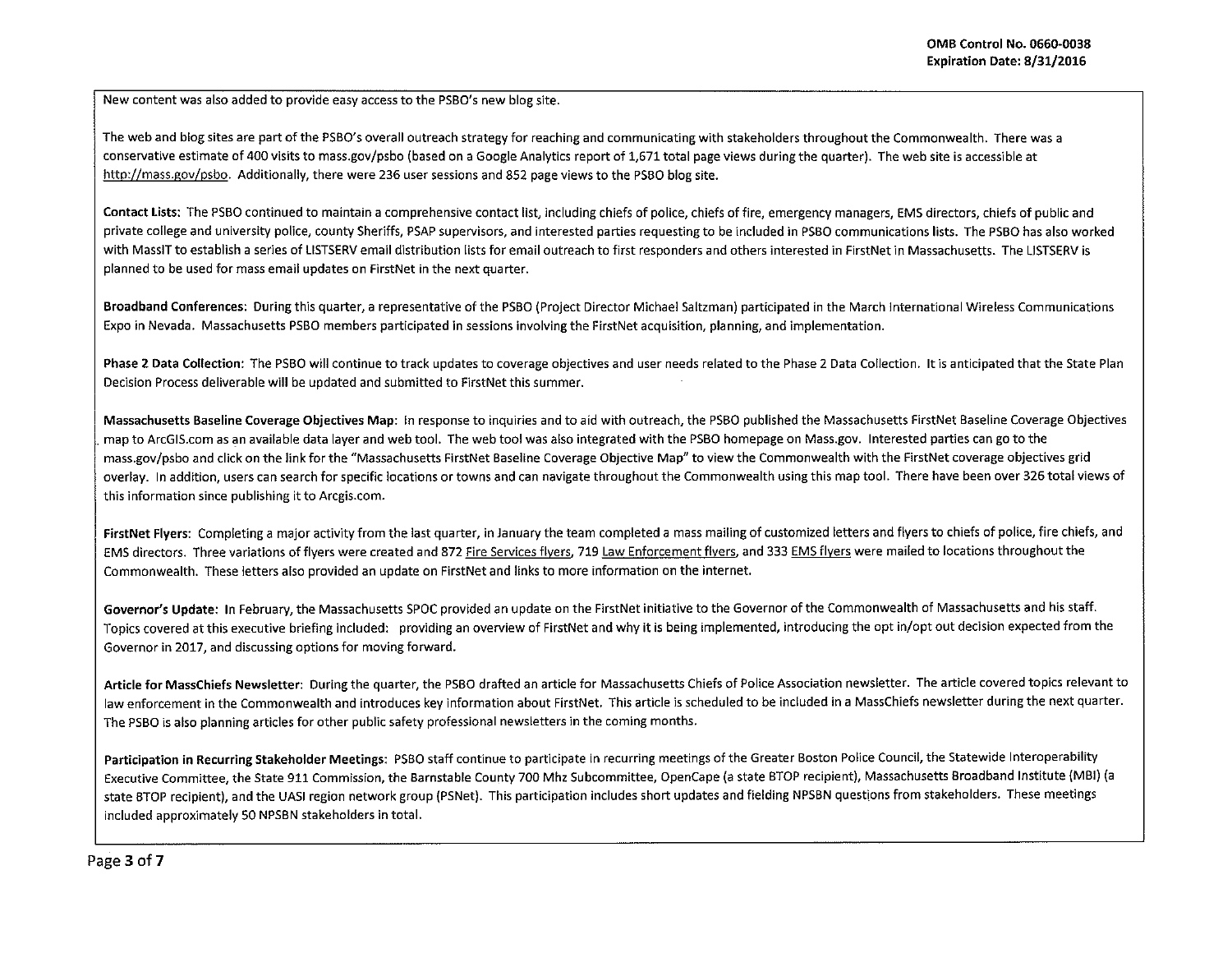New content was also added to provide easy access to the PSBO's new blog site.

The web and blog sites are part of the PSBO's overall outreach strategy for reaching and communicating with stakeholders throughout the Commonwealth. There was a conservative estimate of 400 visits to mass.gov/psbo (based on a Google Analytics report of 1,671 total page views during the quarter). The web site is accessible at http://mass.gov/psbo. Additionally, there were 236 user sessions and 852 page views to the PSBO blog site.

Contact Lists: The PSBO continued to maintain a comprehensive contact list, including chiefs of police, chiefs of fire, emergency managers, EMS directors, chiefs of public and private college and university police, county Sheriffs, PSAP supervisors, and interested parties requesting to be included in PSBO communications lists. The PSBO has also worked with MassiT to establish a series of LISTSERV email distribution lists for email outreach to first responders and others interested in FirstNet in Massachusetts. The USTSERV is planned to be used for mass email updates on FirstNet in the next quarter.

Broadband Conferences: During this quarter, a representative of the PSBO (Project Director Michael Saltzman) participated in the March International Wireless Communications Expo in Nevada. Massachusetts PSBO members participated in sessions involving the FirstNet acquisition, planning, and implementation.

Phase 2 Data Collection: The PSBO will continue to track updates to coverage objectives and user needs related to the Phase 2 Data Collection. It is anticipated that the State Plan Decision Process deliverable will be updated and submitted to FirstNet this summer.

Massachusetts Baseline Coverage Objectives Map: In response to inquiries and to aid with outreach, the PSBO published the Massachusetts FirstNet Baseline Coverage Objectives map to ArcGIS.com as an available data layer and web tool. The web tool was also integrated with the PSBO homepage on Mass.gov. Interested parties can go to the mass.gov/psbo and click on the link for the "Massachusetts FirstNet Baseline Coverage Objective Map" to view the Commonwealth with the FirstNet coverage objectives grid overlay. In addition, users can search for specific locations or towns and can navigate throughout the Commonwealth using this map tool. There have been over 326 total views of this information since publishing it to Arcgis.com.

FirstNet Flyers: Completing a major activity from the last quarter, in January the team completed a mass mailing of customized letters and flyers to chiefs of police, fire chiefs, and EMS directors. Three variations of flyers were created and 872 Fire Services flyers, 719 Law Enforcement flyers, and 333 EMS flyers were mailed to locations throughout the Commonwealth. These letters also provided an update on FirstNet and links to more information on the internet.

Governor's Update: In February, the Massachusetts SPOC provided an update on the FirstNet initiative to the Governor of the Commonwealth of Massachusetts and his staff. Topics covered at this executive briefing included: providing an overview of FirstNet and why it is being implemented, introducing the opt in/opt out decision expected from the Governor in 2017, and discussing options for moving forward.

Article for MassChiefs Newsletter: During the quarter, the PSBO drafted an article for Massachusetts Chiefs of Police Association newsletter. The article covered topics relevant to law enforcement in the Commonwealth and introduces key information about FirstNet. This article is scheduled to be included in a MassChiefs newsletter during the next quarter. The PSBO is also planning articles for other public safety professional newsletters in the coming months.

Participation in Recurring Stakeholder Meetings: PSBO staff continue to participate in recurring meetings of the Greater Boston Police Council, the Statewide Interoperability Executive Committee, the State 911 Commission, the Barnstable County 700 Mhz Subcommittee, OpenCape (a state STOP recipient), Massachusetts Broadband Institute (MBI) (a state STOP recipient), and the UASI region network group (PSNet). This participation includes short updates and fielding NPSBN questions from stakeholders. These meetings included approximately SO NPSBN stakeholders in total .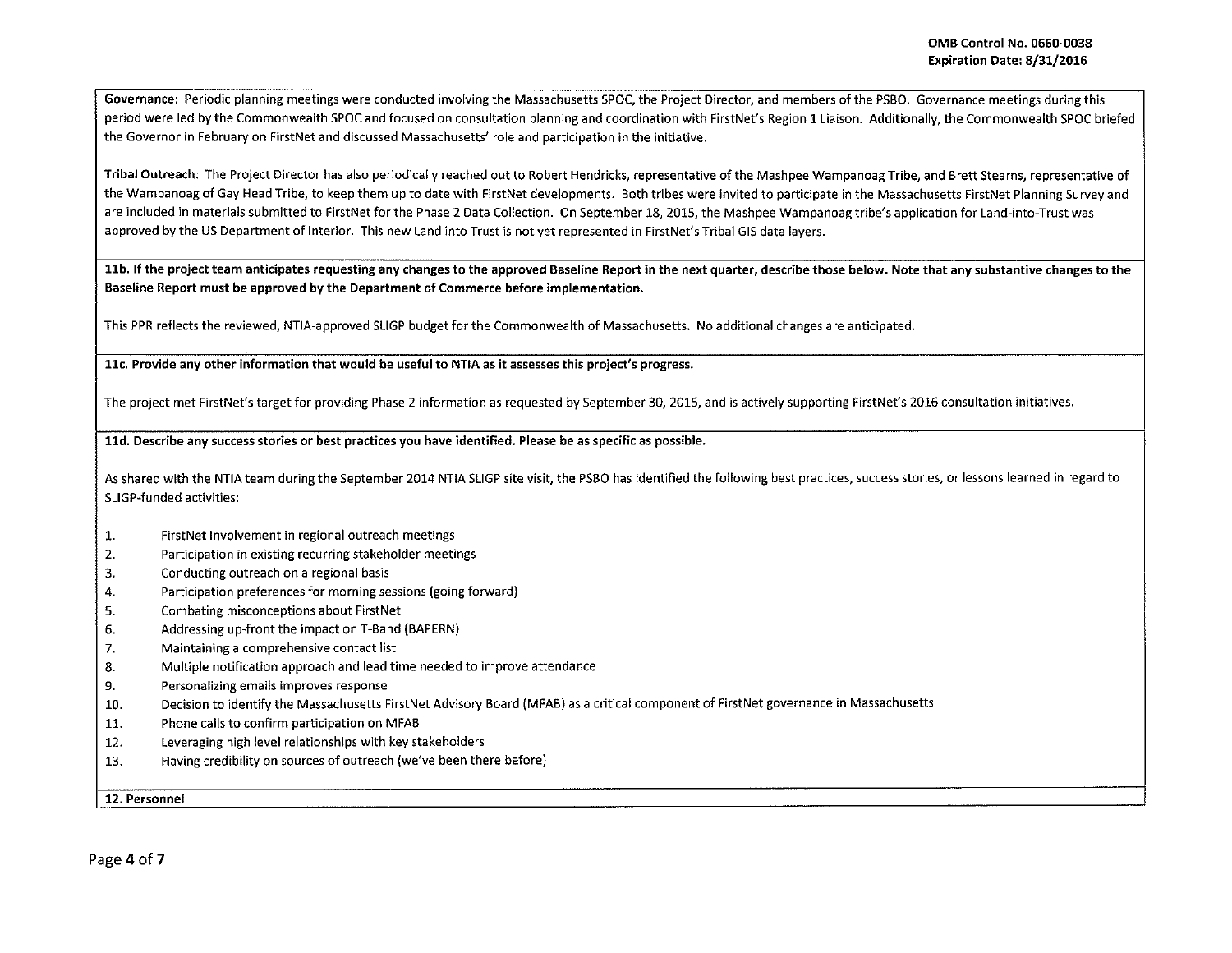Governance: Periodic planning meetings were conducted involving the Massachusetts SPOC, the Project Director, and members of the PSBO. Governance meetings during this period were led by the Commonwealth SPOC and focused on consultation planning and coordination with FirstNet's Region 1 Liaison. Additionally, the Commonwealth SPOC briefed the Governor in February on FirstNet and discussed Massachusetts' role and participation in the initiative.

Tribal Outreach: The Project Director has also periodically reached out to Robert Hendricks, representative of the Mashpee Wampanoag Tribe, and Brett Stearns, representative of the Wampanoag of Gay Head Tribe, to keep them up to date with FirstNet developments. Both tribes were invited to participate in the Massachusetts FirstNet Planning Survey and are included in materials submitted to FirstNet for the Phase 2 Data Collection. On September 18, 2015, the Mashpee Wampanoag tribe's application for Land-into-Trust was approved by the US Department of Interior. This new Land into Trust is not yet represented in FirstNet's Tribal GIS data layers.

11b. If the project team anticipates requesting any changes to the approved Baseline Report in the next quarter, describe those below. Note that any substantive changes to the Baseline Report must be approved by the Department of Commerce before implementation.

This PPR reflects the reviewed, NTIA-approved SLIGP budget for the Commonwealth of Massachusetts. No additional changes are anticipated.

llc. Provide any other information that would be useful to NTIA as it assesses this project's progress.

The project met FirstNet's target for providing Phase 2 information as requested by September 30, 2015, and is actively supporting FirstNet's 2016 consultation initiatives.

lld. Describe any success stories or best practices you have identified. Please be as specific as possible.

As shared with the NTIA team during the September 2014 NTIA SUGP site visit, the PSBO has identified the following best practices, success stories, or lessons learned in regard to SLIGP-funded activities:

- 1. First Net Involvement in regional outreach meetings
- 2. Participation in existing recurring stakeholder meetings
- 3. Conducting outreach on a regional basis
- 4. Participation preferences for morning sessions {going forward)
- 5. Combating misconceptions about FirstNet
- 6. Addressing up-front the impact on T-Band (BAPERN)
- 7. Maintaining a comprehensive contact list
- 8. Multiple notification approach and lead time needed to improve attendance
- 9. Personalizing emails improves response
- 10. Decision to identify the Massachusetts FirstNet Advisory Board (MFAB) as a critical component of First Net governance in Massachusetts
- 11. Phone calls to confirm participation on MFAB
- 12. Leveraging high level relationships with key stakeholders
- 13. Having credibility on sources of outreach (we've been there before)

12. Personnel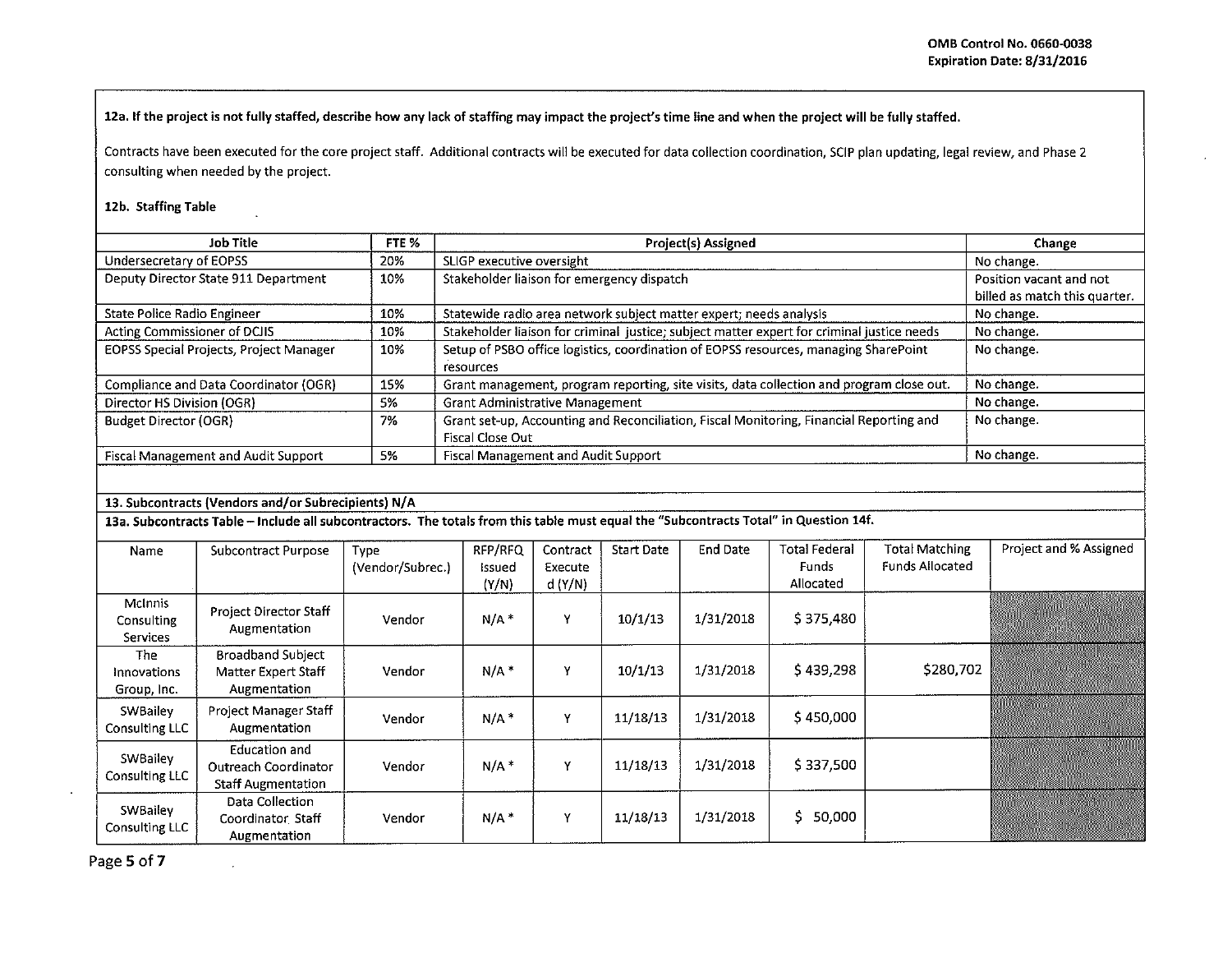12a. If the project is not fully staffed, describe how any lack of staffing may impact the project's time line and when the project will be fully staffed.

Contracts have been executed for the core project staff. Additional contracts will be executed for data collection coordination, SCIP plan updating, legal review, and Phase 2 consulting when needed by the project.

## 12b. Staffing Table

| Job Title                                      | FTE % | <b>Project(s) Assigned</b>                                                                 | Change                        |
|------------------------------------------------|-------|--------------------------------------------------------------------------------------------|-------------------------------|
| Undersecretary of EOPSS                        | 20%   | SLIGP executive oversight                                                                  | No change.                    |
| Deputy Director State 911 Department<br>10%    |       | Stakeholder liaison for emergency dispatch                                                 | Position vacant and not       |
|                                                |       |                                                                                            | billed as match this quarter. |
| <b>State Police Radio Engineer</b>             | 10%   | Statewide radio area network subject matter expert; needs analysis                         | No change.                    |
| Acting Commissioner of DCJIS                   | 10%   | Stakeholder liaison for criminal justice; subject matter expert for criminal justice needs | No change.                    |
| EOPSS Special Projects, Project Manager<br>10% |       | Setup of PSBO office logistics, coordination of EOPSS resources, managing SharePoint       | No change.                    |
|                                                |       | <b>resources</b>                                                                           |                               |
| Compliance and Data Coordinator (OGR)          | 15%   | Grant management, program reporting, site visits, data collection and program close out.   | No change.                    |
| Director HS Division (OGR)                     | 5%    | <b>Grant Administrative Management</b>                                                     | No change.                    |
| <b>Budget Director (OGR)</b>                   | 7%    | Grant set-up, Accounting and Reconciliation, Fiscal Monitoring, Financial Reporting and    | No change.                    |
|                                                |       | Fiscal Close Out                                                                           |                               |
| <b>Fiscal Management and Audit Support</b>     | 5%    | Fiscal Management and Audit Support                                                        | No change.                    |

## 13. Subcontracts (Vendors and/or Subrecipients) N/A

 $\mathbf{r}$ 

13a. Subcontracts Table - Include all subcontractors. The totals from this table must equal the "Subcontracts Total" in Question 14f.

| Name                                     | <b>Subcontract Purpose</b>                                         | Type<br>(Vendor/Subrec.) | RFP/RFQ<br>Issued<br>(Y/N) | Contract<br>Execute<br>d(Y/N) | Start Date | <b>End Date</b> | Total Federal<br>Funds<br>Allocated | <b>Total Matching</b><br><b>Funds Allocated</b> | Project and % Assigned |
|------------------------------------------|--------------------------------------------------------------------|--------------------------|----------------------------|-------------------------------|------------|-----------------|-------------------------------------|-------------------------------------------------|------------------------|
| McInnis<br>Consulting<br><b>Services</b> | Project Director Staff<br>Augmentation                             | Vendor                   | $N/A$ *                    | Y                             | 10/1/13    | 1/31/2018       | \$375,480                           |                                                 |                        |
| The<br>Innovations<br>Group, Inc.        | <b>Broadband Subject</b><br>Matter Expert Staff<br>Augmentation    | Vendor                   | $N/A$ *                    | Υ                             | 10/1/13    | 1/31/2018       | \$439,298                           | \$280,702                                       |                        |
| SWBailey<br>Consulting LLC               | Project Manager Staff<br>Augmentation                              | Vendor                   | $N/A$ <sup>*</sup>         | Y                             | 11/18/13   | 1/31/2018       | \$450,000                           |                                                 |                        |
| SWBailey<br>Consulting LLC               | Education and<br>Outreach Coordinator<br><b>Staff Augmentation</b> | Vendor                   | $N/A$ *                    | $\checkmark$                  | 11/18/13   | 1/31/2018       | \$337,500                           |                                                 |                        |
| SWBailey<br>Consulting LLC               | Data Collection<br>Coordinator Staff<br>Augmentation               | Vendor                   | $N/A$ *                    | Y                             | 11/18/13   | 1/31/2018       | \$50,000                            |                                                 |                        |

Page 5 of 7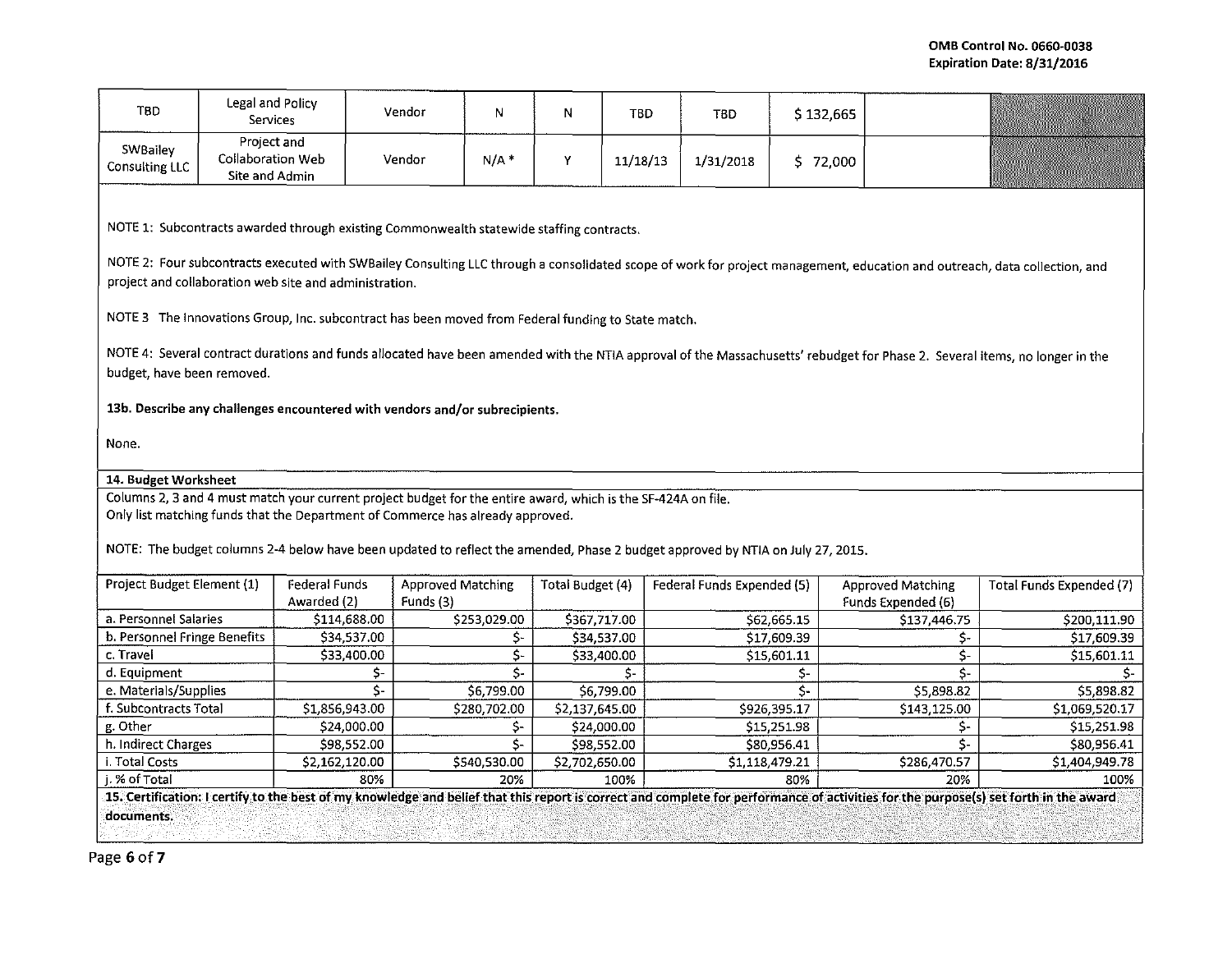| <b>TBD</b>                                                                                                                                                                                                | Legal and Policy<br>Services                                                                                                                                                                                                        |                                                                                                    | Vendor                                | N            | N                | <b>TBD</b> | <b>TBD</b>                 | \$132,665    |                                                |                          |
|-----------------------------------------------------------------------------------------------------------------------------------------------------------------------------------------------------------|-------------------------------------------------------------------------------------------------------------------------------------------------------------------------------------------------------------------------------------|----------------------------------------------------------------------------------------------------|---------------------------------------|--------------|------------------|------------|----------------------------|--------------|------------------------------------------------|--------------------------|
| SWBailey<br><b>Consulting LLC</b>                                                                                                                                                                         | Project and<br>Collaboration Web<br>Site and Admin                                                                                                                                                                                  |                                                                                                    | Vendor                                | $N/A$ *      | Υ                | 11/18/13   | 1/31/2018                  | 5 72,000     |                                                |                          |
|                                                                                                                                                                                                           |                                                                                                                                                                                                                                     |                                                                                                    |                                       |              |                  |            |                            |              |                                                |                          |
|                                                                                                                                                                                                           | NOTE 1: Subcontracts awarded through existing Commonwealth statewide staffing contracts.                                                                                                                                            |                                                                                                    |                                       |              |                  |            |                            |              |                                                |                          |
|                                                                                                                                                                                                           | NOTE 2: Four subcontracts executed with SWBailey Consulting LLC through a consolidated scope of work for project management, education and outreach, data collection, and<br>project and collaboration web site and administration. |                                                                                                    |                                       |              |                  |            |                            |              |                                                |                          |
|                                                                                                                                                                                                           |                                                                                                                                                                                                                                     | NOTE 3 The Innovations Group, Inc. subcontract has been moved from Federal funding to State match. |                                       |              |                  |            |                            |              |                                                |                          |
| NOTE 4: Several contract durations and funds allocated have been amended with the NTIA approval of the Massachusetts' rebudget for Phase 2. Several items, no longer in the<br>budget, have been removed. |                                                                                                                                                                                                                                     |                                                                                                    |                                       |              |                  |            |                            |              |                                                |                          |
|                                                                                                                                                                                                           | 13b. Describe any challenges encountered with vendors and/or subrecipients.                                                                                                                                                         |                                                                                                    |                                       |              |                  |            |                            |              |                                                |                          |
| None.                                                                                                                                                                                                     |                                                                                                                                                                                                                                     |                                                                                                    |                                       |              |                  |            |                            |              |                                                |                          |
| 14. Budget Worksheet                                                                                                                                                                                      |                                                                                                                                                                                                                                     |                                                                                                    |                                       |              |                  |            |                            |              |                                                |                          |
|                                                                                                                                                                                                           | Columns 2, 3 and 4 must match your current project budget for the entire award, which is the SF-424A on file.                                                                                                                       |                                                                                                    |                                       |              |                  |            |                            |              |                                                |                          |
|                                                                                                                                                                                                           |                                                                                                                                                                                                                                     | Only list matching funds that the Department of Commerce has already approved.                     |                                       |              |                  |            |                            |              |                                                |                          |
| NOTE: The budget columns 2-4 below have been updated to reflect the amended, Phase 2 budget approved by NTIA on July 27, 2015.                                                                            |                                                                                                                                                                                                                                     |                                                                                                    |                                       |              |                  |            |                            |              |                                                |                          |
| Project Budget Element (1)                                                                                                                                                                                |                                                                                                                                                                                                                                     | <b>Federal Funds</b><br>Awarded (2)                                                                | <b>Approved Matching</b><br>Funds (3) |              | Total Budget (4) |            | Federal Funds Expended (5) |              | <b>Approved Matching</b><br>Funds Expended (6) | Total Funds Expended (7) |
| a. Personnel Salaries                                                                                                                                                                                     |                                                                                                                                                                                                                                     | \$114,688.00                                                                                       |                                       | \$253,029.00 | \$367,717.00     |            |                            | \$62,665.15  | \$137,446.75                                   | \$200,111.90             |
| b. Personnel Fringe Benefits                                                                                                                                                                              |                                                                                                                                                                                                                                     | \$34,537.00                                                                                        |                                       | \$-          | \$34,537.00      |            |                            | \$17,609.39  | $\mathsf{S}$ -                                 | \$17,609.39              |
| c. Travel                                                                                                                                                                                                 |                                                                                                                                                                                                                                     | \$33,400.00                                                                                        |                                       | \$-          | \$33,400.00      |            |                            | \$15,601.11  | $\overline{\mathsf{S}}$                        | \$15,601.11              |
| d. Equipment                                                                                                                                                                                              |                                                                                                                                                                                                                                     | \$-                                                                                                |                                       | \$-          |                  | Ś-         |                            | \$-          | Ŝ-                                             | Ś-                       |
| e. Materials/Supplies                                                                                                                                                                                     |                                                                                                                                                                                                                                     | \$-                                                                                                |                                       | \$6,799.00   |                  | \$6,799.00 |                            | \$-          | \$5,898.82                                     | \$5,898.82               |
| f. Subcontracts Total                                                                                                                                                                                     |                                                                                                                                                                                                                                     | \$1,856,943.00                                                                                     |                                       | \$280,702.00 | \$2,137,645.00   |            |                            | \$926,395.17 | \$143,125.00                                   | \$1,069,520.17           |
| g. Other                                                                                                                                                                                                  |                                                                                                                                                                                                                                     | \$24,000.00                                                                                        |                                       | \$-          | \$24,000.00      |            |                            | \$15,251.98  | \$-                                            | \$15,251.98              |
| h. Indirect Charges                                                                                                                                                                                       |                                                                                                                                                                                                                                     | \$98,552.00                                                                                        |                                       | \$-          | \$98,552.00      |            |                            | \$80,956.41  | \$-                                            | \$80,956.41              |
| i. Total Costs                                                                                                                                                                                            |                                                                                                                                                                                                                                     | \$2,162,120.00                                                                                     |                                       | \$540,530.00 | \$2,702,650.00   |            | \$1,118,479.21             |              | \$286,470.57                                   | \$1,404,949.78           |
| i. % of Total                                                                                                                                                                                             |                                                                                                                                                                                                                                     | 80%                                                                                                |                                       | 20%          |                  | 100%       |                            | 80%          | 20%                                            | 100%                     |
| 15. Certification: I certify to the best of my knowledge and belief that this report is correct and complete for performance of activities for the purpose(s) set forth in the award                      |                                                                                                                                                                                                                                     |                                                                                                    |                                       |              |                  |            |                            |              |                                                |                          |
| documents.                                                                                                                                                                                                |                                                                                                                                                                                                                                     |                                                                                                    |                                       |              |                  |            |                            |              |                                                |                          |
|                                                                                                                                                                                                           |                                                                                                                                                                                                                                     |                                                                                                    |                                       |              |                  |            |                            |              |                                                |                          |